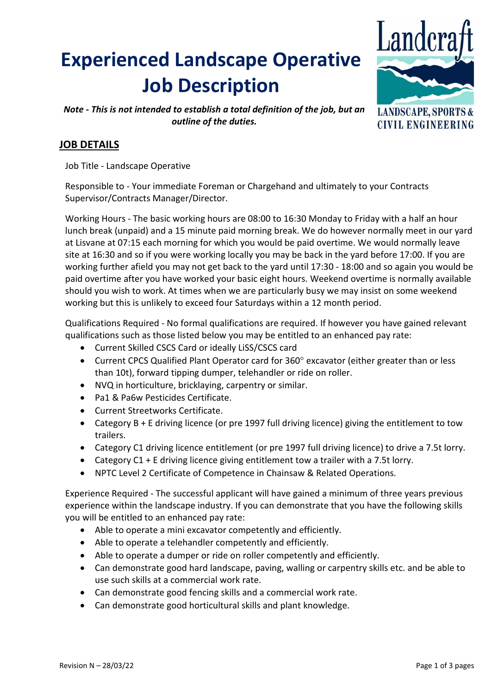# **Experienced Landscape Operative Job Description**



**CIVIL ENGINEERING** 

*Note - This is not intended to establish a total definition of the job, but an outline of the duties.*

# **JOB DETAILS**

Job Title - Landscape Operative

Responsible to - Your immediate Foreman or Chargehand and ultimately to your Contracts Supervisor/Contracts Manager/Director.

Working Hours - The basic working hours are 08:00 to 16:30 Monday to Friday with a half an hour lunch break (unpaid) and a 15 minute paid morning break. We do however normally meet in our yard at Lisvane at 07:15 each morning for which you would be paid overtime. We would normally leave site at 16:30 and so if you were working locally you may be back in the yard before 17:00. If you are working further afield you may not get back to the yard until 17:30 - 18:00 and so again you would be paid overtime after you have worked your basic eight hours. Weekend overtime is normally available should you wish to work. At times when we are particularly busy we may insist on some weekend working but this is unlikely to exceed four Saturdays within a 12 month period.

Qualifications Required - No formal qualifications are required. If however you have gained relevant qualifications such as those listed below you may be entitled to an enhanced pay rate:

- Current Skilled CSCS Card or ideally LiSS/CSCS card
- Current CPCS Qualified Plant Operator card for 360° excavator (either greater than or less than 10t), forward tipping dumper, telehandler or ride on roller.
- NVQ in horticulture, bricklaying, carpentry or similar.
- Pa1 & Pa6w Pesticides Certificate.
- Current Streetworks Certificate.
- Category B + E driving licence (or pre 1997 full driving licence) giving the entitlement to tow trailers.
- Category C1 driving licence entitlement (or pre 1997 full driving licence) to drive a 7.5t lorry.
- Category  $C1 + E$  driving licence giving entitlement tow a trailer with a 7.5t lorry.
- NPTC Level 2 Certificate of Competence in Chainsaw & Related Operations.

Experience Required - The successful applicant will have gained a minimum of three years previous experience within the landscape industry. If you can demonstrate that you have the following skills you will be entitled to an enhanced pay rate:

- Able to operate a mini excavator competently and efficiently.
- Able to operate a telehandler competently and efficiently.
- Able to operate a dumper or ride on roller competently and efficiently.
- Can demonstrate good hard landscape, paving, walling or carpentry skills etc. and be able to use such skills at a commercial work rate.
- Can demonstrate good fencing skills and a commercial work rate.
- Can demonstrate good horticultural skills and plant knowledge.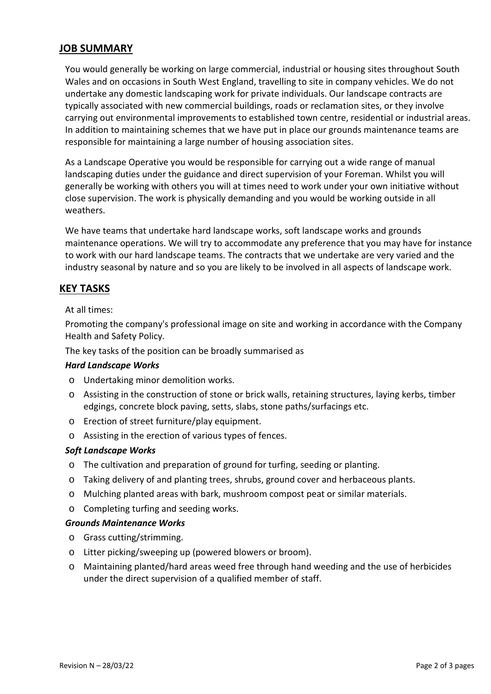# **JOB SUMMARY**

You would generally be working on large commercial, industrial or housing sites throughout South Wales and on occasions in South West England, travelling to site in company vehicles. We do not undertake any domestic landscaping work for private individuals. Our landscape contracts are typically associated with new commercial buildings, roads or reclamation sites, or they involve carrying out environmental improvements to established town centre, residential or industrial areas. In addition to maintaining schemes that we have put in place our grounds maintenance teams are responsible for maintaining a large number of housing association sites.

As a Landscape Operative you would be responsible for carrying out a wide range of manual landscaping duties under the guidance and direct supervision of your Foreman. Whilst you will generally be working with others you will at times need to work under your own initiative without close supervision. The work is physically demanding and you would be working outside in all weathers.

We have teams that undertake hard landscape works, soft landscape works and grounds maintenance operations. We will try to accommodate any preference that you may have for instance to work with our hard landscape teams. The contracts that we undertake are very varied and the industry seasonal by nature and so you are likely to be involved in all aspects of landscape work.

## **KEY TASKS**

## At all times:

Promoting the company's professional image on site and working in accordance with the Company Health and Safety Policy.

The key tasks of the position can be broadly summarised as

## *Hard Landscape Works*

- o Undertaking minor demolition works.
- o Assisting in the construction of stone or brick walls, retaining structures, laying kerbs, timber edgings, concrete block paving, setts, slabs, stone paths/surfacings etc.
- o Erection of street furniture/play equipment.
- o Assisting in the erection of various types of fences.

## *Soft Landscape Works*

- o The cultivation and preparation of ground for turfing, seeding or planting.
- o Taking delivery of and planting trees, shrubs, ground cover and herbaceous plants.
- o Mulching planted areas with bark, mushroom compost peat or similar materials.
- o Completing turfing and seeding works.

## *Grounds Maintenance Works*

- o Grass cutting/strimming.
- o Litter picking/sweeping up (powered blowers or broom).
- o Maintaining planted/hard areas weed free through hand weeding and the use of herbicides under the direct supervision of a qualified member of staff.